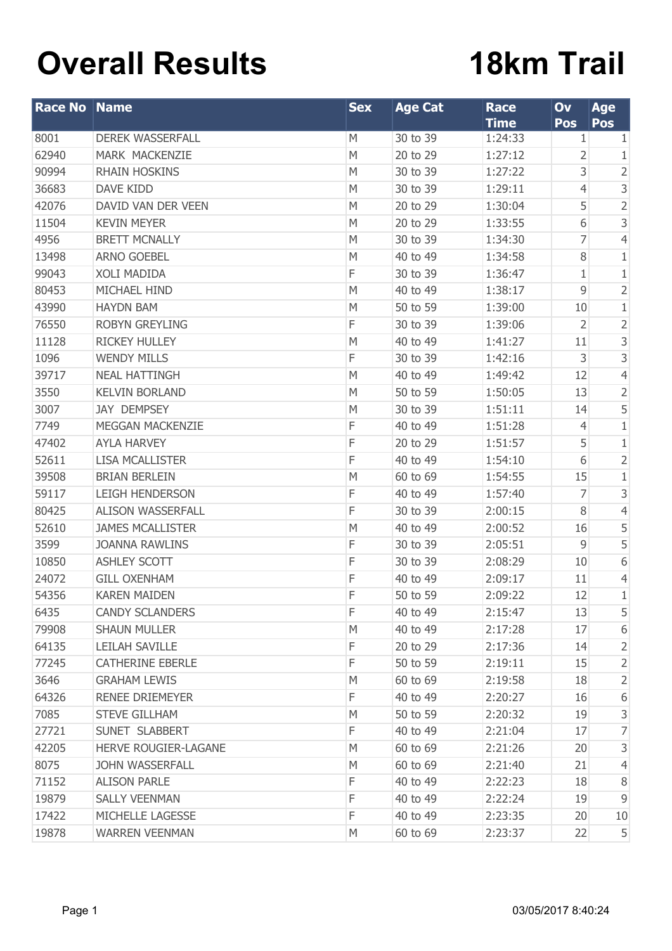## **Overall Results**

## **18km Trail**

| <b>Race No Name</b> |                             | <b>Sex</b> | <b>Age Cat</b> | <b>Race</b> | Ov             | Age            |
|---------------------|-----------------------------|------------|----------------|-------------|----------------|----------------|
|                     |                             |            |                | <b>Time</b> | <b>Pos</b>     | Pos            |
| 8001                | <b>DEREK WASSERFALL</b>     | M          | 30 to 39       | 1:24:33     | 1              | 1              |
| 62940               | MARK MACKENZIE              | M          | 20 to 29       | 1:27:12     | 2              | 1              |
| 90994               | <b>RHAIN HOSKINS</b>        | M          | 30 to 39       | 1:27:22     | 3              | $\overline{2}$ |
| 36683               | <b>DAVE KIDD</b>            | M          | 30 to 39       | 1:29:11     | $\overline{4}$ | $\mathsf 3$    |
| 42076               | DAVID VAN DER VEEN          | M          | 20 to 29       | 1:30:04     | 5              | $\overline{2}$ |
| 11504               | <b>KEVIN MEYER</b>          | M          | 20 to 29       | 1:33:55     | 6              | $\mathsf 3$    |
| 4956                | <b>BRETT MCNALLY</b>        | M          | 30 to 39       | 1:34:30     | 7              | $\overline{4}$ |
| 13498               | <b>ARNO GOEBEL</b>          | M          | 40 to 49       | 1:34:58     | 8              | $1\,$          |
| 99043               | <b>XOLI MADIDA</b>          | F          | 30 to 39       | 1:36:47     | 1              | $\,1\,$        |
| 80453               | MICHAEL HIND                | M          | 40 to 49       | 1:38:17     | 9              | $\sqrt{2}$     |
| 43990               | <b>HAYDN BAM</b>            | M          | 50 to 59       | 1:39:00     | 10             | $\,1$          |
| 76550               | <b>ROBYN GREYLING</b>       | F          | 30 to 39       | 1:39:06     | 2              | $\overline{c}$ |
| 11128               | <b>RICKEY HULLEY</b>        | M          | 40 to 49       | 1:41:27     | 11             | $\mathsf 3$    |
| 1096                | <b>WENDY MILLS</b>          | F          | 30 to 39       | 1:42:16     | 3              | 3              |
| 39717               | <b>NEAL HATTINGH</b>        | M          | 40 to 49       | 1:49:42     | 12             | $\overline{4}$ |
| 3550                | <b>KELVIN BORLAND</b>       | M          | 50 to 59       | 1:50:05     | 13             | $\overline{2}$ |
| 3007                | <b>JAY DEMPSEY</b>          | M          | 30 to 39       | 1:51:11     | 14             | 5              |
| 7749                | MEGGAN MACKENZIE            | F          | 40 to 49       | 1:51:28     | 4              | $\,1$          |
| 47402               | <b>AYLA HARVEY</b>          | F          | 20 to 29       | 1:51:57     | 5              | $\,1\,$        |
| 52611               | <b>LISA MCALLISTER</b>      | F          | 40 to 49       | 1:54:10     | 6              | $\overline{c}$ |
| 39508               | <b>BRIAN BERLEIN</b>        | M          | 60 to 69       | 1:54:55     | 15             | $\,1\,$        |
| 59117               | <b>LEIGH HENDERSON</b>      | F          | 40 to 49       | 1:57:40     | 7              | $\mathsf 3$    |
| 80425               | <b>ALISON WASSERFALL</b>    | F          | 30 to 39       | 2:00:15     | 8              | $\overline{4}$ |
| 52610               | <b>JAMES MCALLISTER</b>     | M          | 40 to 49       | 2:00:52     | 16             | 5              |
| 3599                | <b>JOANNA RAWLINS</b>       | F          | 30 to 39       | 2:05:51     | $\overline{9}$ | 5              |
| 10850               | <b>ASHLEY SCOTT</b>         | F          | 30 to 39       | 2:08:29     | 10             | 6              |
| 24072               | <b>GILL OXENHAM</b>         | F          | 40 to 49       | 2:09:17     | 11             | $\overline{4}$ |
| 54356               | <b>KAREN MAIDEN</b>         | F          | 50 to 59       | 2:09:22     | 12             | $1\,$          |
| 6435                | <b>CANDY SCLANDERS</b>      | F          | 40 to 49       | 2:15:47     | 13             | 5              |
| 79908               | <b>SHAUN MULLER</b>         | M          | 40 to 49       | 2:17:28     | 17             | 6              |
| 64135               | LEILAH SAVILLE              | F          | 20 to 29       | 2:17:36     | 14             | $\overline{2}$ |
| 77245               | <b>CATHERINE EBERLE</b>     | F          | 50 to 59       | 2:19:11     | 15             | $\overline{2}$ |
| 3646                | <b>GRAHAM LEWIS</b>         | M          | 60 to 69       | 2:19:58     | 18             | $\overline{2}$ |
| 64326               | RENEE DRIEMEYER             | F          | 40 to 49       | 2:20:27     | 16             | 6              |
| 7085                | <b>STEVE GILLHAM</b>        | M          | 50 to 59       | 2:20:32     | 19             | $\mathsf 3$    |
| 27721               | SUNET SLABBERT              | F          | 40 to 49       | 2:21:04     | 17             | 7              |
| 42205               | <b>HERVE ROUGIER-LAGANE</b> | M          | 60 to 69       | 2:21:26     | 20             | $\mathsf 3$    |
| 8075                | <b>JOHN WASSERFALL</b>      | M          | 60 to 69       | 2:21:40     | 21             | $\overline{4}$ |
| 71152               | <b>ALISON PARLE</b>         | F          | 40 to 49       | 2:22:23     | 18             | $\, 8$         |
| 19879               | <b>SALLY VEENMAN</b>        | F          | 40 to 49       | 2:22:24     | 19             | $\mathsf 9$    |
| 17422               | MICHELLE LAGESSE            | F          | 40 to 49       | 2:23:35     | 20             | 10             |
| 19878               | <b>WARREN VEENMAN</b>       | М          | 60 to 69       | 2:23:37     | 22             | $\overline{5}$ |